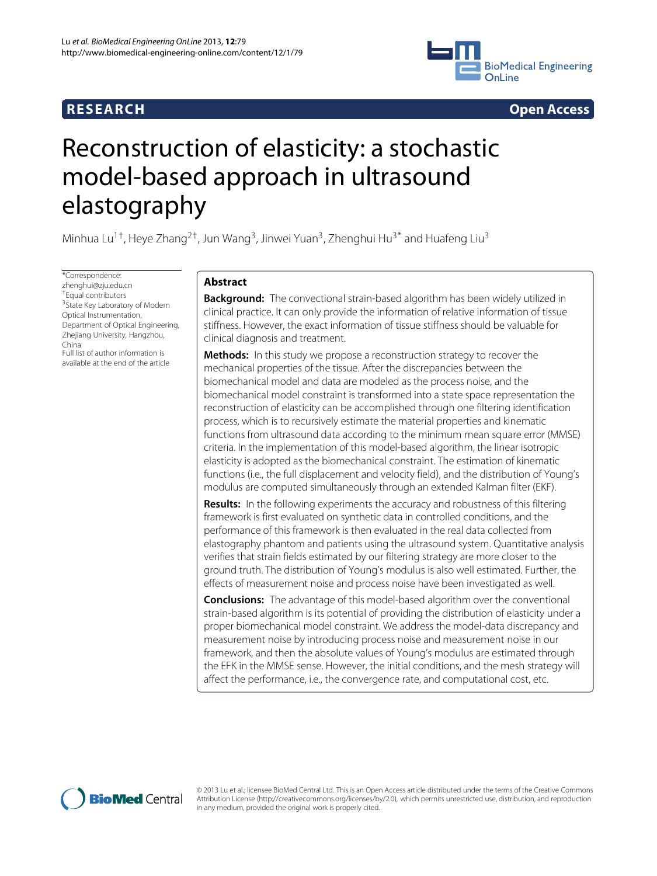



# Reconstruction of elasticity: a stochastic model-based approach in ultrasound elastography

Minhua Lu<sup>1†</sup>, Heye Zhang<sup>2†</sup>, Jun Wang<sup>3</sup>, Jinwei Yuan<sup>3</sup>, Zhenghui Hu<sup>3\*</sup> and Huafeng Liu<sup>3</sup>

\*Correspondence: zhenghui@zju.edu.cn †Equal contributors <sup>3</sup> State Key Laboratory of Modern Optical Instrumentation, Department of Optical Engineering, Zhejiang University, Hangzhou, China Full list of author information is available at the end of the article

# **Abstract**

**Background:** The convectional strain-based algorithm has been widely utilized in clinical practice. It can only provide the information of relative information of tissue stiffness. However, the exact information of tissue stiffness should be valuable for clinical diagnosis and treatment.

**Methods:** In this study we propose a reconstruction strategy to recover the mechanical properties of the tissue. After the discrepancies between the biomechanical model and data are modeled as the process noise, and the biomechanical model constraint is transformed into a state space representation the reconstruction of elasticity can be accomplished through one filtering identification process, which is to recursively estimate the material properties and kinematic functions from ultrasound data according to the minimum mean square error (MMSE) criteria. In the implementation of this model-based algorithm, the linear isotropic elasticity is adopted as the biomechanical constraint. The estimation of kinematic functions (i.e., the full displacement and velocity field), and the distribution of Young's modulus are computed simultaneously through an extended Kalman filter (EKF).

**Results:** In the following experiments the accuracy and robustness of this filtering framework is first evaluated on synthetic data in controlled conditions, and the performance of this framework is then evaluated in the real data collected from elastography phantom and patients using the ultrasound system. Quantitative analysis verifies that strain fields estimated by our filtering strategy are more closer to the ground truth. The distribution of Young's modulus is also well estimated. Further, the effects of measurement noise and process noise have been investigated as well.

**Conclusions:** The advantage of this model-based algorithm over the conventional strain-based algorithm is its potential of providing the distribution of elasticity under a proper biomechanical model constraint. We address the model-data discrepancy and measurement noise by introducing process noise and measurement noise in our framework, and then the absolute values of Young's modulus are estimated through the EFK in the MMSE sense. However, the initial conditions, and the mesh strategy will affect the performance, i.e., the convergence rate, and computational cost, etc.



© 2013 Lu et al.; licensee BioMed Central Ltd. This is an Open Access article distributed under the terms of the Creative Commons Attribution License (http://creativecommons.org/licenses/by/2.0), which permits unrestricted use, distribution, and reproduction in any medium, provided the original work is properly cited.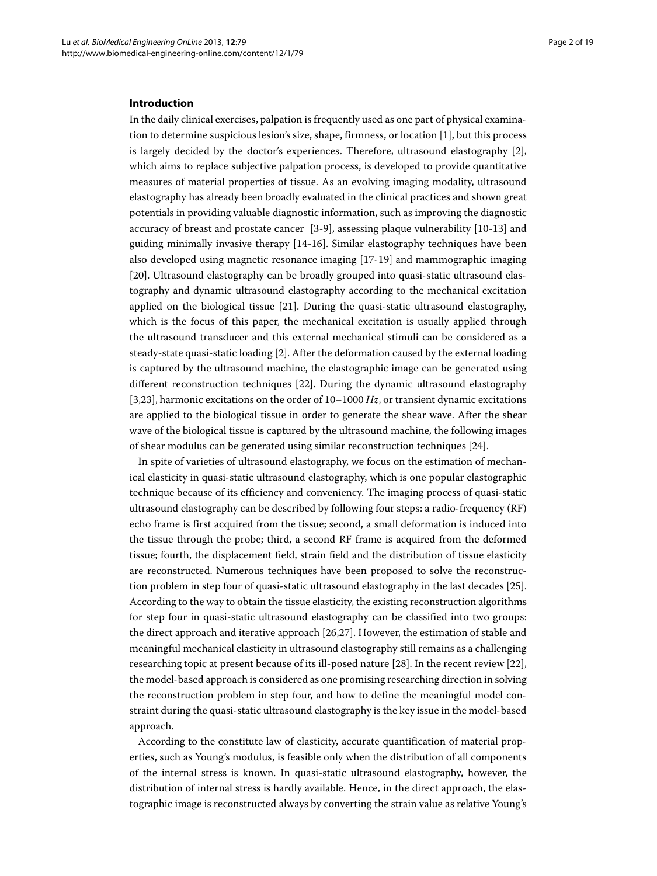# **Introduction**

In the daily clinical exercises, palpation is frequently used as one part of physical examination to determine suspicious lesion's size, shape, firmness, or location [\[1\]](#page-17-0), but this process is largely decided by the doctor's experiences. Therefore, ultrasound elastography [\[2\]](#page-17-1), which aims to replace subjective palpation process, is developed to provide quantitative measures of material properties of tissue. As an evolving imaging modality, ultrasound elastography has already been broadly evaluated in the clinical practices and shown great potentials in providing valuable diagnostic information, such as improving the diagnostic accuracy of breast and prostate cancer [\[3](#page-17-2)[-9\]](#page-17-3), assessing plaque vulnerability [\[10-](#page-17-4)[13\]](#page-17-5) and guiding minimally invasive therapy [\[14](#page-17-6)[-16\]](#page-17-7). Similar elastography techniques have been also developed using magnetic resonance imaging [\[17](#page-17-8)[-19\]](#page-17-9) and mammographic imaging [\[20\]](#page-17-10). Ultrasound elastography can be broadly grouped into quasi-static ultrasound elastography and dynamic ultrasound elastography according to the mechanical excitation applied on the biological tissue [\[21\]](#page-18-0). During the quasi-static ultrasound elastography, which is the focus of this paper, the mechanical excitation is usually applied through the ultrasound transducer and this external mechanical stimuli can be considered as a steady-state quasi-static loading [\[2\]](#page-17-1). After the deformation caused by the external loading is captured by the ultrasound machine, the elastographic image can be generated using different reconstruction techniques [\[22\]](#page-18-1). During the dynamic ultrasound elastography [\[3,](#page-17-2)[23\]](#page-18-2), harmonic excitations on the order of 10–1000 *Hz*, or transient dynamic excitations are applied to the biological tissue in order to generate the shear wave. After the shear wave of the biological tissue is captured by the ultrasound machine, the following images of shear modulus can be generated using similar reconstruction techniques [\[24\]](#page-18-3).

In spite of varieties of ultrasound elastography, we focus on the estimation of mechanical elasticity in quasi-static ultrasound elastography, which is one popular elastographic technique because of its efficiency and conveniency. The imaging process of quasi-static ultrasound elastography can be described by following four steps: a radio-frequency (RF) echo frame is first acquired from the tissue; second, a small deformation is induced into the tissue through the probe; third, a second RF frame is acquired from the deformed tissue; fourth, the displacement field, strain field and the distribution of tissue elasticity are reconstructed. Numerous techniques have been proposed to solve the reconstruction problem in step four of quasi-static ultrasound elastography in the last decades [\[25\]](#page-18-4). According to the way to obtain the tissue elasticity, the existing reconstruction algorithms for step four in quasi-static ultrasound elastography can be classified into two groups: the direct approach and iterative approach [\[26](#page-18-5)[,27\]](#page-18-6). However, the estimation of stable and meaningful mechanical elasticity in ultrasound elastography still remains as a challenging researching topic at present because of its ill-posed nature [\[28\]](#page-18-7). In the recent review [\[22\]](#page-18-1), the model-based approach is considered as one promising researching direction in solving the reconstruction problem in step four, and how to define the meaningful model constraint during the quasi-static ultrasound elastography is the key issue in the model-based approach.

According to the constitute law of elasticity, accurate quantification of material properties, such as Young's modulus, is feasible only when the distribution of all components of the internal stress is known. In quasi-static ultrasound elastography, however, the distribution of internal stress is hardly available. Hence, in the direct approach, the elastographic image is reconstructed always by converting the strain value as relative Young's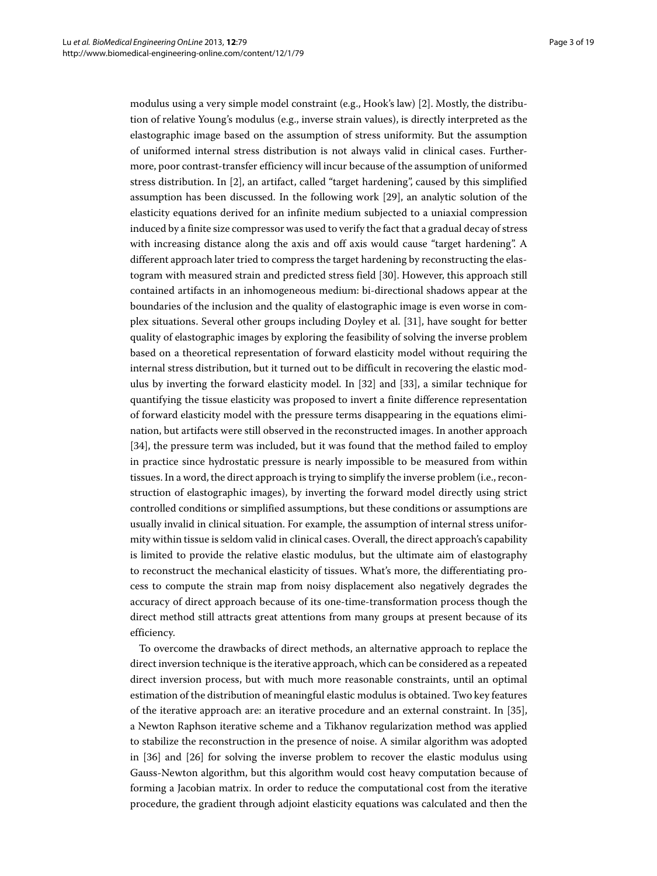modulus using a very simple model constraint (e.g., Hook's law) [\[2\]](#page-17-1). Mostly, the distribution of relative Young's modulus (e.g., inverse strain values), is directly interpreted as the elastographic image based on the assumption of stress uniformity. But the assumption of uniformed internal stress distribution is not always valid in clinical cases. Furthermore, poor contrast-transfer efficiency will incur because of the assumption of uniformed stress distribution. In [\[2\]](#page-17-1), an artifact, called "target hardening", caused by this simplified assumption has been discussed. In the following work [\[29\]](#page-18-8), an analytic solution of the elasticity equations derived for an infinite medium subjected to a uniaxial compression induced by a finite size compressor was used to verify the fact that a gradual decay of stress with increasing distance along the axis and off axis would cause "target hardening". A different approach later tried to compress the target hardening by reconstructing the elastogram with measured strain and predicted stress field [\[30\]](#page-18-9). However, this approach still contained artifacts in an inhomogeneous medium: bi-directional shadows appear at the boundaries of the inclusion and the quality of elastographic image is even worse in complex situations. Several other groups including Doyley et al. [\[31\]](#page-18-10), have sought for better quality of elastographic images by exploring the feasibility of solving the inverse problem based on a theoretical representation of forward elasticity model without requiring the internal stress distribution, but it turned out to be difficult in recovering the elastic modulus by inverting the forward elasticity model. In [\[32\]](#page-18-11) and [\[33\]](#page-18-12), a similar technique for quantifying the tissue elasticity was proposed to invert a finite difference representation of forward elasticity model with the pressure terms disappearing in the equations elimination, but artifacts were still observed in the reconstructed images. In another approach [\[34\]](#page-18-13), the pressure term was included, but it was found that the method failed to employ in practice since hydrostatic pressure is nearly impossible to be measured from within tissues. In a word, the direct approach is trying to simplify the inverse problem (i.e., reconstruction of elastographic images), by inverting the forward model directly using strict controlled conditions or simplified assumptions, but these conditions or assumptions are usually invalid in clinical situation. For example, the assumption of internal stress uniformity within tissue is seldom valid in clinical cases. Overall, the direct approach's capability is limited to provide the relative elastic modulus, but the ultimate aim of elastography to reconstruct the mechanical elasticity of tissues. What's more, the differentiating process to compute the strain map from noisy displacement also negatively degrades the accuracy of direct approach because of its one-time-transformation process though the direct method still attracts great attentions from many groups at present because of its efficiency.

To overcome the drawbacks of direct methods, an alternative approach to replace the direct inversion technique is the iterative approach, which can be considered as a repeated direct inversion process, but with much more reasonable constraints, until an optimal estimation of the distribution of meaningful elastic modulus is obtained. Two key features of the iterative approach are: an iterative procedure and an external constraint. In [\[35\]](#page-18-14), a Newton Raphson iterative scheme and a Tikhanov regularization method was applied to stabilize the reconstruction in the presence of noise. A similar algorithm was adopted in [\[36\]](#page-18-15) and [\[26\]](#page-18-5) for solving the inverse problem to recover the elastic modulus using Gauss-Newton algorithm, but this algorithm would cost heavy computation because of forming a Jacobian matrix. In order to reduce the computational cost from the iterative procedure, the gradient through adjoint elasticity equations was calculated and then the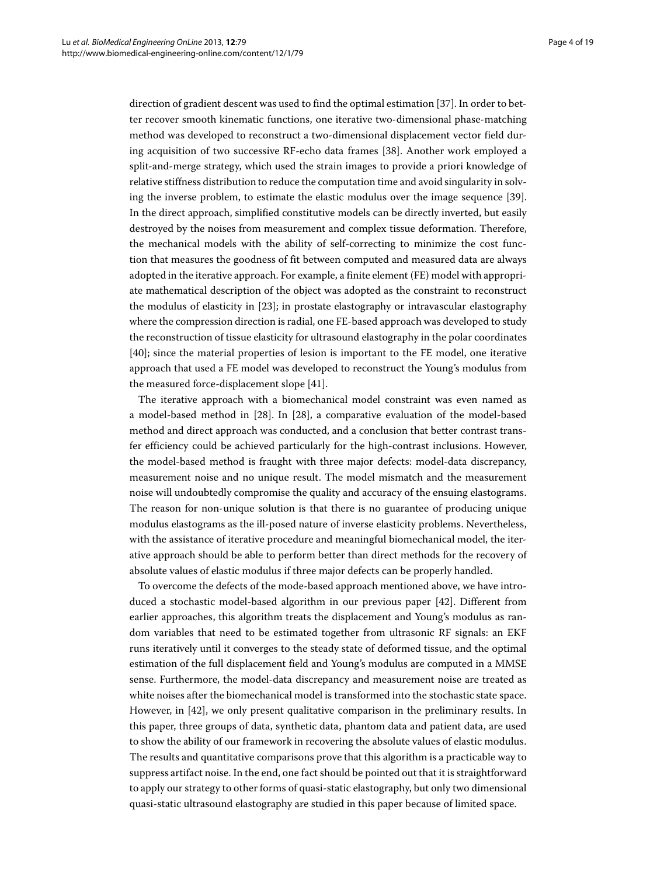direction of gradient descent was used to find the optimal estimation [\[37\]](#page-18-16). In order to better recover smooth kinematic functions, one iterative two-dimensional phase-matching method was developed to reconstruct a two-dimensional displacement vector field during acquisition of two successive RF-echo data frames [\[38\]](#page-18-17). Another work employed a split-and-merge strategy, which used the strain images to provide a priori knowledge of relative stiffness distribution to reduce the computation time and avoid singularity in solving the inverse problem, to estimate the elastic modulus over the image sequence [\[39\]](#page-18-18). In the direct approach, simplified constitutive models can be directly inverted, but easily destroyed by the noises from measurement and complex tissue deformation. Therefore, the mechanical models with the ability of self-correcting to minimize the cost function that measures the goodness of fit between computed and measured data are always adopted in the iterative approach. For example, a finite element (FE) model with appropriate mathematical description of the object was adopted as the constraint to reconstruct the modulus of elasticity in [\[23\]](#page-18-2); in prostate elastography or intravascular elastography where the compression direction is radial, one FE-based approach was developed to study the reconstruction of tissue elasticity for ultrasound elastography in the polar coordinates [\[40\]](#page-18-19); since the material properties of lesion is important to the FE model, one iterative approach that used a FE model was developed to reconstruct the Young's modulus from the measured force-displacement slope [\[41\]](#page-18-20).

The iterative approach with a biomechanical model constraint was even named as a model-based method in [\[28\]](#page-18-7). In [\[28\]](#page-18-7), a comparative evaluation of the model-based method and direct approach was conducted, and a conclusion that better contrast transfer efficiency could be achieved particularly for the high-contrast inclusions. However, the model-based method is fraught with three major defects: model-data discrepancy, measurement noise and no unique result. The model mismatch and the measurement noise will undoubtedly compromise the quality and accuracy of the ensuing elastograms. The reason for non-unique solution is that there is no guarantee of producing unique modulus elastograms as the ill-posed nature of inverse elasticity problems. Nevertheless, with the assistance of iterative procedure and meaningful biomechanical model, the iterative approach should be able to perform better than direct methods for the recovery of absolute values of elastic modulus if three major defects can be properly handled.

To overcome the defects of the mode-based approach mentioned above, we have introduced a stochastic model-based algorithm in our previous paper [\[42\]](#page-18-21). Different from earlier approaches, this algorithm treats the displacement and Young's modulus as random variables that need to be estimated together from ultrasonic RF signals: an EKF runs iteratively until it converges to the steady state of deformed tissue, and the optimal estimation of the full displacement field and Young's modulus are computed in a MMSE sense. Furthermore, the model-data discrepancy and measurement noise are treated as white noises after the biomechanical model is transformed into the stochastic state space. However, in [\[42\]](#page-18-21), we only present qualitative comparison in the preliminary results. In this paper, three groups of data, synthetic data, phantom data and patient data, are used to show the ability of our framework in recovering the absolute values of elastic modulus. The results and quantitative comparisons prove that this algorithm is a practicable way to suppress artifact noise. In the end, one fact should be pointed out that it is straightforward to apply our strategy to other forms of quasi-static elastography, but only two dimensional quasi-static ultrasound elastography are studied in this paper because of limited space.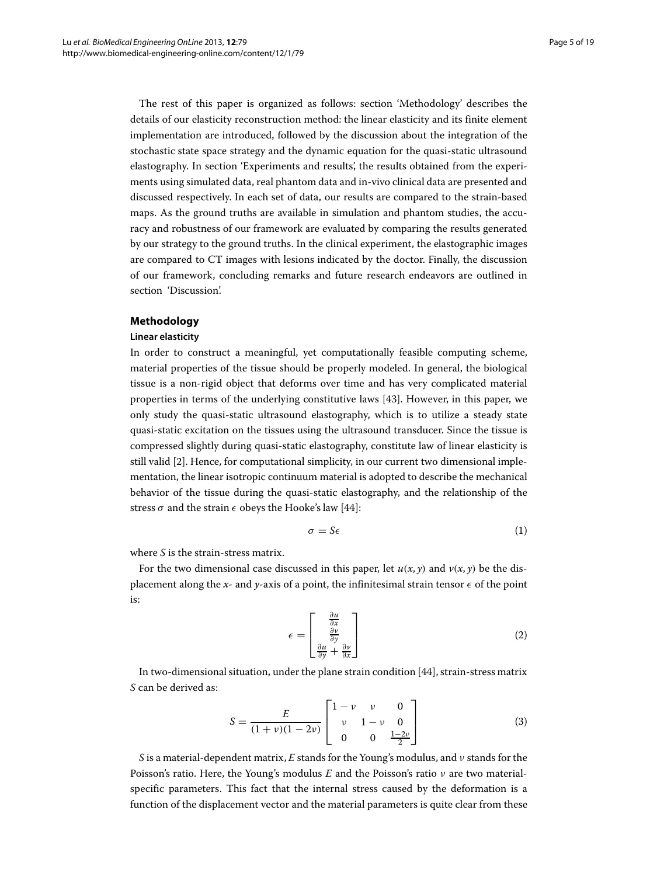The rest of this paper is organized as follows: section ['Methodology'](#page-4-0) describes the details of our elasticity reconstruction method: the linear elasticity and its finite element implementation are introduced, followed by the discussion about the integration of the stochastic state space strategy and the dynamic equation for the quasi-static ultrasound elastography. In section ['Experiments and results',](#page-9-0) the results obtained from the experiments using simulated data, real phantom data and in-vivo clinical data are presented and discussed respectively. In each set of data, our results are compared to the strain-based maps. As the ground truths are available in simulation and phantom studies, the accuracy and robustness of our framework are evaluated by comparing the results generated by our strategy to the ground truths. In the clinical experiment, the elastographic images are compared to CT images with lesions indicated by the doctor. Finally, the discussion of our framework, concluding remarks and future research endeavors are outlined in section ['Discussion'.](#page-14-0)

## <span id="page-4-0"></span>**Methodology**

# **Linear elasticity**

In order to construct a meaningful, yet computationally feasible computing scheme, material properties of the tissue should be properly modeled. In general, the biological tissue is a non-rigid object that deforms over time and has very complicated material properties in terms of the underlying constitutive laws [\[43\]](#page-18-22). However, in this paper, we only study the quasi-static ultrasound elastography, which is to utilize a steady state quasi-static excitation on the tissues using the ultrasound transducer. Since the tissue is compressed slightly during quasi-static elastography, constitute law of linear elasticity is still valid [\[2\]](#page-17-1). Hence, for computational simplicity, in our current two dimensional implementation, the linear isotropic continuum material is adopted to describe the mechanical behavior of the tissue during the quasi-static elastography, and the relationship of the stress  $\sigma$  and the strain  $\epsilon$  obeys the Hooke's law [\[44\]](#page-18-23):

$$
\sigma = S\epsilon \tag{1}
$$

where *S* is the strain-stress matrix.

For the two dimensional case discussed in this paper, let  $u(x, y)$  and  $v(x, y)$  be the displacement along the *x*- and *y*-axis of a point, the infinitesimal strain tensor  $\epsilon$  of the point is:

$$
\epsilon = \begin{bmatrix} \frac{\partial u}{\partial x} \\ \frac{\partial v}{\partial y} \\ \frac{\partial u}{\partial y} + \frac{\partial v}{\partial x} \end{bmatrix}
$$
 (2)

In two-dimensional situation, under the plane strain condition [\[44\]](#page-18-23), strain-stress matrix *S* can be derived as:

$$
S = \frac{E}{(1+\nu)(1-2\nu)} \begin{bmatrix} 1-\nu & \nu & 0\\ \nu & 1-\nu & 0\\ 0 & 0 & \frac{1-2\nu}{2} \end{bmatrix}
$$
 (3)

*S* is a material-dependent matrix, *E* stands for the Young's modulus, and ν stands for the Poisson's ratio. Here, the Young's modulus *E* and the Poisson's ratio ν are two materialspecific parameters. This fact that the internal stress caused by the deformation is a function of the displacement vector and the material parameters is quite clear from these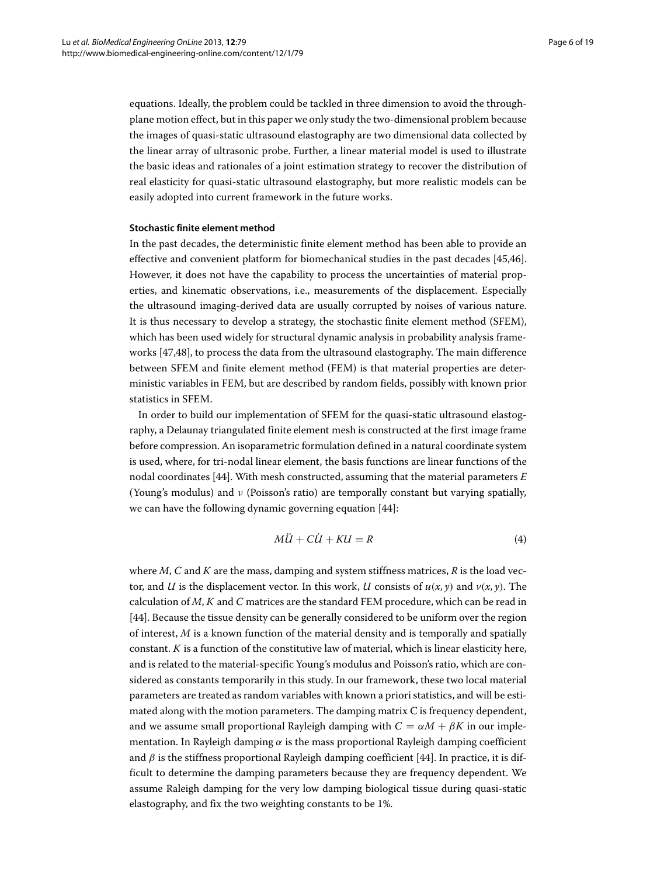equations. Ideally, the problem could be tackled in three dimension to avoid the throughplane motion effect, but in this paper we only study the two-dimensional problem because the images of quasi-static ultrasound elastography are two dimensional data collected by the linear array of ultrasonic probe. Further, a linear material model is used to illustrate the basic ideas and rationales of a joint estimation strategy to recover the distribution of real elasticity for quasi-static ultrasound elastography, but more realistic models can be easily adopted into current framework in the future works.

# **Stochastic finite element method**

In the past decades, the deterministic finite element method has been able to provide an effective and convenient platform for biomechanical studies in the past decades [\[45](#page-18-24)[,46\]](#page-18-25). However, it does not have the capability to process the uncertainties of material properties, and kinematic observations, i.e., measurements of the displacement. Especially the ultrasound imaging-derived data are usually corrupted by noises of various nature. It is thus necessary to develop a strategy, the stochastic finite element method (SFEM), which has been used widely for structural dynamic analysis in probability analysis frameworks [\[47,](#page-18-26)[48\]](#page-18-27), to process the data from the ultrasound elastography. The main difference between SFEM and finite element method (FEM) is that material properties are deterministic variables in FEM, but are described by random fields, possibly with known prior statistics in SFEM.

In order to build our implementation of SFEM for the quasi-static ultrasound elastography, a Delaunay triangulated finite element mesh is constructed at the first image frame before compression. An isoparametric formulation defined in a natural coordinate system is used, where, for tri-nodal linear element, the basis functions are linear functions of the nodal coordinates [\[44\]](#page-18-23). With mesh constructed, assuming that the material parameters *E* (Young's modulus) and ν (Poisson's ratio) are temporally constant but varying spatially, we can have the following dynamic governing equation [\[44\]](#page-18-23):

<span id="page-5-0"></span>
$$
M\ddot{U} + C\dot{U} + KU = R \tag{4}
$$

where *M*, *C* and *K* are the mass, damping and system stiffness matrices, *R* is the load vector, and *U* is the displacement vector. In this work, *U* consists of  $u(x, y)$  and  $v(x, y)$ . The calculation of *M*, *K* and *C* matrices are the standard FEM procedure, which can be read in [\[44\]](#page-18-23). Because the tissue density can be generally considered to be uniform over the region of interest, *M* is a known function of the material density and is temporally and spatially constant. *K* is a function of the constitutive law of material, which is linear elasticity here, and is related to the material-specific Young's modulus and Poisson's ratio, which are considered as constants temporarily in this study. In our framework, these two local material parameters are treated as random variables with known a priori statistics, and will be estimated along with the motion parameters. The damping matrix C is frequency dependent, and we assume small proportional Rayleigh damping with  $C = \alpha M + \beta K$  in our implementation. In Rayleigh damping  $\alpha$  is the mass proportional Rayleigh damping coefficient and  $\beta$  is the stiffness proportional Rayleigh damping coefficient [\[44\]](#page-18-23). In practice, it is difficult to determine the damping parameters because they are frequency dependent. We assume Raleigh damping for the very low damping biological tissue during quasi-static elastography, and fix the two weighting constants to be 1%.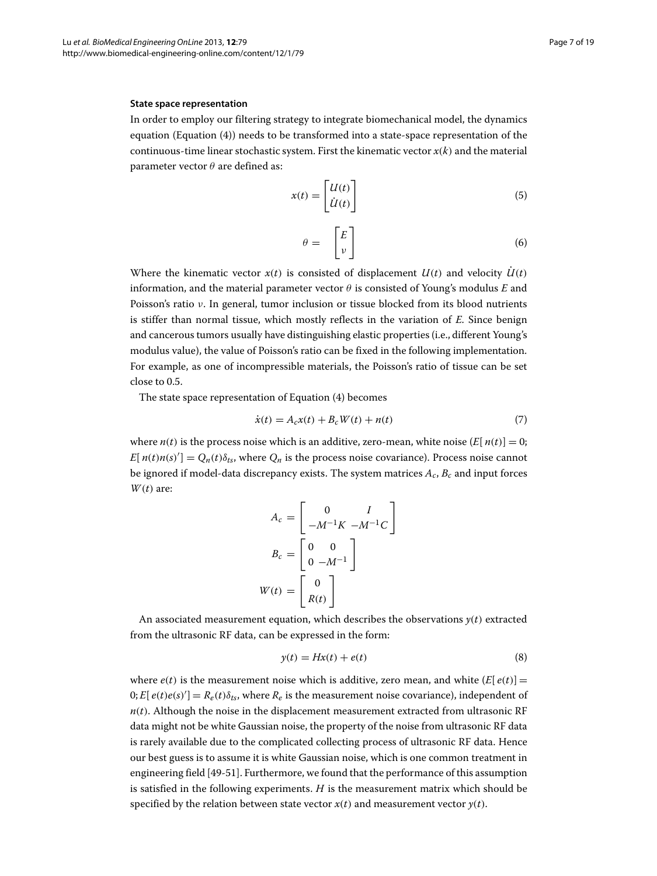#### **State space representation**

In order to employ our filtering strategy to integrate biomechanical model, the dynamics equation (Equation [\(4\)](#page-5-0)) needs to be transformed into a state-space representation of the continuous-time linear stochastic system. First the kinematic vector  $x(k)$  and the material parameter vector  $\theta$  are defined as:

$$
x(t) = \begin{bmatrix} U(t) \\ \dot{U}(t) \end{bmatrix} \tag{5}
$$

$$
\theta = \begin{bmatrix} E \\ v \end{bmatrix} \tag{6}
$$

Where the kinematic vector  $x(t)$  is consisted of displacement  $U(t)$  and velocity  $\dot{U}(t)$ information, and the material parameter vector  $\theta$  is consisted of Young's modulus *E* and Poisson's ratio ν. In general, tumor inclusion or tissue blocked from its blood nutrients is stiffer than normal tissue, which mostly reflects in the variation of *E*. Since benign and cancerous tumors usually have distinguishing elastic properties (i.e., different Young's modulus value), the value of Poisson's ratio can be fixed in the following implementation. For example, as one of incompressible materials, the Poisson's ratio of tissue can be set close to 0.5.

The state space representation of Equation [\(4\)](#page-5-0) becomes

<span id="page-6-0"></span>
$$
\dot{x}(t) = A_c x(t) + B_c W(t) + n(t) \tag{7}
$$

where  $n(t)$  is the process noise which is an additive, zero-mean, white noise  $(E[n(t)] = 0;$  $E[ n(t) n(s)'] = Q_n(t) \delta_{ts}$ , where  $Q_n$  is the process noise covariance). Process noise cannot be ignored if model-data discrepancy exists. The system matrices  $A_c$ ,  $B_c$  and input forces *W*(*t*) are:

$$
A_c = \begin{bmatrix} 0 & I \\ -M^{-1}K & -M^{-1}C \end{bmatrix}
$$

$$
B_c = \begin{bmatrix} 0 & 0 \\ 0 & -M^{-1} \end{bmatrix}
$$

$$
W(t) = \begin{bmatrix} 0 \\ R(t) \end{bmatrix}
$$

An associated measurement equation, which describes the observations  $y(t)$  extracted from the ultrasonic RF data, can be expressed in the form:

<span id="page-6-1"></span>
$$
y(t) = Hx(t) + e(t)
$$
\n(8)

where  $e(t)$  is the measurement noise which is additive, zero mean, and white  $(E[e(t)] =$  $[0; E[ e(t)e(s)'] = R_e(t) \delta_{ts}$ , where  $R_e$  is the measurement noise covariance), independent of  $n(t)$ . Although the noise in the displacement measurement extracted from ultrasonic RF data might not be white Gaussian noise, the property of the noise from ultrasonic RF data is rarely available due to the complicated collecting process of ultrasonic RF data. Hence our best guess is to assume it is white Gaussian noise, which is one common treatment in engineering field [\[49](#page-18-28)[-51\]](#page-18-29). Furthermore, we found that the performance of this assumption is satisfied in the following experiments. *H* is the measurement matrix which should be specified by the relation between state vector  $x(t)$  and measurement vector  $y(t)$ .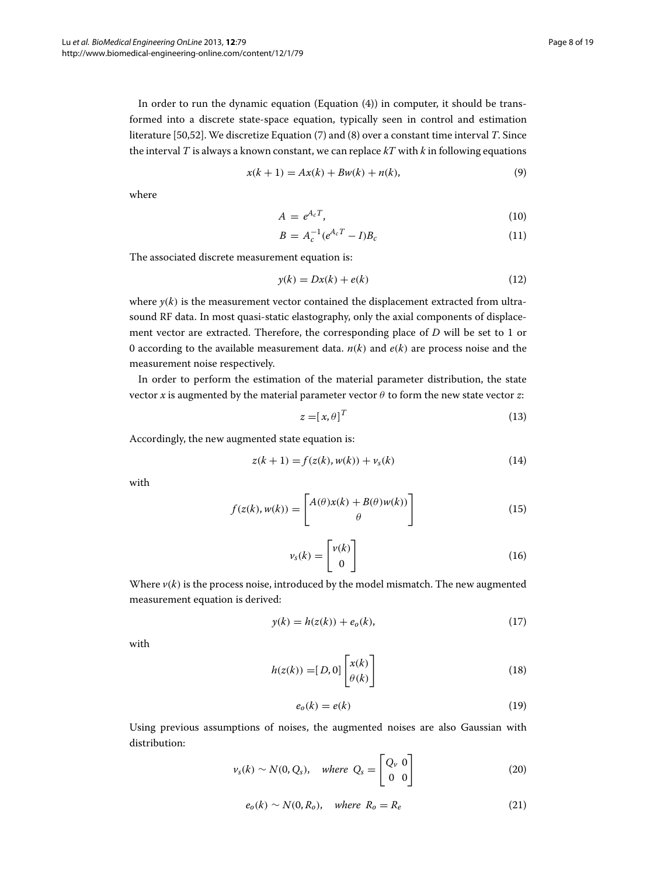In order to run the dynamic equation (Equation [\(4\)](#page-5-0)) in computer, it should be transformed into a discrete state-space equation, typically seen in control and estimation literature [\[50,](#page-18-30)[52\]](#page-18-31). We discretize Equation [\(7\)](#page-6-0) and [\(8\)](#page-6-1) over a constant time interval *T*. Since the interval *T* is always a known constant, we can replace *kT* with *k* in following equations

$$
x(k + 1) = Ax(k) + Bw(k) + n(k),
$$
\n(9)

where

$$
A = e^{A_c T}, \tag{10}
$$

$$
B = A_c^{-1} (e^{A_c T} - I) B_c \tag{11}
$$

The associated discrete measurement equation is:

$$
y(k) = Dx(k) + e(k)
$$
\n(12)

where  $y(k)$  is the measurement vector contained the displacement extracted from ultrasound RF data. In most quasi-static elastography, only the axial components of displacement vector are extracted. Therefore, the corresponding place of *D* will be set to 1 or 0 according to the available measurement data.  $n(k)$  and  $e(k)$  are process noise and the measurement noise respectively.

In order to perform the estimation of the material parameter distribution, the state vector *x* is augmented by the material parameter vector  $\theta$  to form the new state vector *z*:

$$
z = [x, \theta]^T \tag{13}
$$

Accordingly, the new augmented state equation is:

<span id="page-7-0"></span>
$$
z(k+1) = f(z(k), w(k)) + v_s(k)
$$
\n(14)

with

$$
f(z(k), w(k)) = \begin{bmatrix} A(\theta)x(k) + B(\theta)w(k)) \\ \theta \end{bmatrix}
$$
 (15)

$$
\nu_s(k) = \begin{bmatrix} \nu(k) \\ 0 \end{bmatrix} \tag{16}
$$

Where  $v(k)$  is the process noise, introduced by the model mismatch. The new augmented measurement equation is derived:

<span id="page-7-1"></span>
$$
y(k) = h(z(k)) + e_o(k),
$$
\n(17)

with

$$
h(z(k)) = [D, 0] \begin{bmatrix} x(k) \\ \theta(k) \end{bmatrix}
$$
 (18)

$$
e_o(k) = e(k) \tag{19}
$$

Using previous assumptions of noises, the augmented noises are also Gaussian with distribution:

$$
\nu_s(k) \sim N(0, Q_s), \quad \text{where } Q_s = \begin{bmatrix} Q_v & 0 \\ 0 & 0 \end{bmatrix} \tag{20}
$$

$$
e_o(k) \sim N(0, R_o), \quad \text{where } R_o = R_e \tag{21}
$$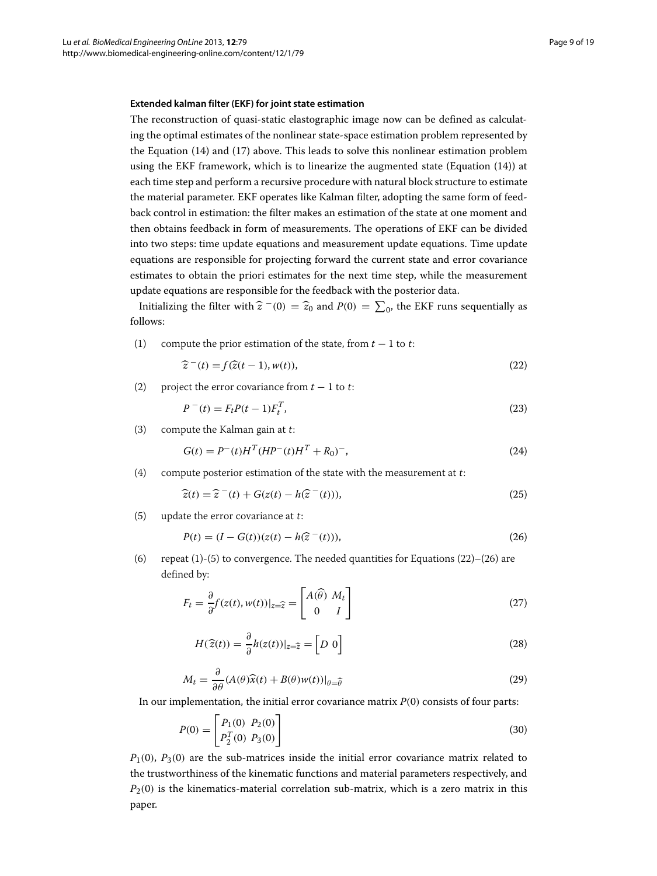# **Extended kalman filter (EKF) for joint state estimation**

The reconstruction of quasi-static elastographic image now can be defined as calculating the optimal estimates of the nonlinear state-space estimation problem represented by the Equation [\(14\)](#page-7-0) and [\(17\)](#page-7-1) above. This leads to solve this nonlinear estimation problem using the EKF framework, which is to linearize the augmented state (Equation [\(14\)](#page-7-0)) at each time step and perform a recursive procedure with natural block structure to estimate the material parameter. EKF operates like Kalman filter, adopting the same form of feedback control in estimation: the filter makes an estimation of the state at one moment and then obtains feedback in form of measurements. The operations of EKF can be divided into two steps: time update equations and measurement update equations. Time update equations are responsible for projecting forward the current state and error covariance estimates to obtain the priori estimates for the next time step, while the measurement update equations are responsible for the feedback with the posterior data.

Initializing the filter with  $\hat{z}^-(0) = \hat{z}_0$  and  $P(0) = \sum_0$ , the EKF runs sequentially as follows:

(1) compute the prior estimation of the state, from *<sup>t</sup>* <sup>−</sup> <sup>1</sup> to <sup>t</sup>:

<span id="page-8-0"></span>
$$
\widehat{z}^-(t) = f(\widehat{z}(t-1), w(t)),\tag{22}
$$

(2) project the error covariance from  $t - 1$  to t:

$$
P^{-}(t) = F_t P(t-1) F_t^T,
$$
\n(23)

(3) compute the Kalman gain at <sup>t</sup>:

$$
G(t) = P^{-}(t)H^{T}(HP^{-}(t)H^{T} + R_{0})^{-},
$$
\n(24)

(4) compute posterior estimation of the state with the measurement at <sup>t</sup>:

$$
\widehat{z}(t) = \widehat{z}^-(t) + G(z(t) - h(\widehat{z}^-(t))),\tag{25}
$$

(5) update the error covariance at <sup>t</sup>:

<span id="page-8-1"></span>
$$
P(t) = (I - G(t))(z(t) - h(\hat{z}^{-}(t))),
$$
\n(26)

(6) repeat (1)-(5) to convergence. The needed quantities for Equations [\(22\)](#page-8-0)-[\(26\)](#page-8-1) are defined by:

$$
F_t = \frac{\partial}{\partial} f(z(t), w(t))|_{z=\hat{z}} = \begin{bmatrix} A(\hat{\theta}) & M_t \\ 0 & I \end{bmatrix}
$$
 (27)

$$
H(\widehat{z}(t)) = \frac{\partial}{\partial} h(z(t))|_{z=\widehat{z}} = \left[D \ 0\right]
$$
\n(28)

$$
M_t = \frac{\partial}{\partial \theta} (A(\theta)\widehat{x}(t) + B(\theta)w(t))|_{\theta = \widehat{\theta}}
$$
\n(29)

In our implementation, the initial error covariance matrix  $P(0)$  consists of four parts:

$$
P(0) = \begin{bmatrix} P_1(0) & P_2(0) \\ P_2^T(0) & P_3(0) \end{bmatrix}
$$
 (30)

 $P_1(0)$ ,  $P_3(0)$  are the sub-matrices inside the initial error covariance matrix related to the trustworthiness of the kinematic functions and material parameters respectively, and  $P_2(0)$  is the kinematics-material correlation sub-matrix, which is a zero matrix in this paper.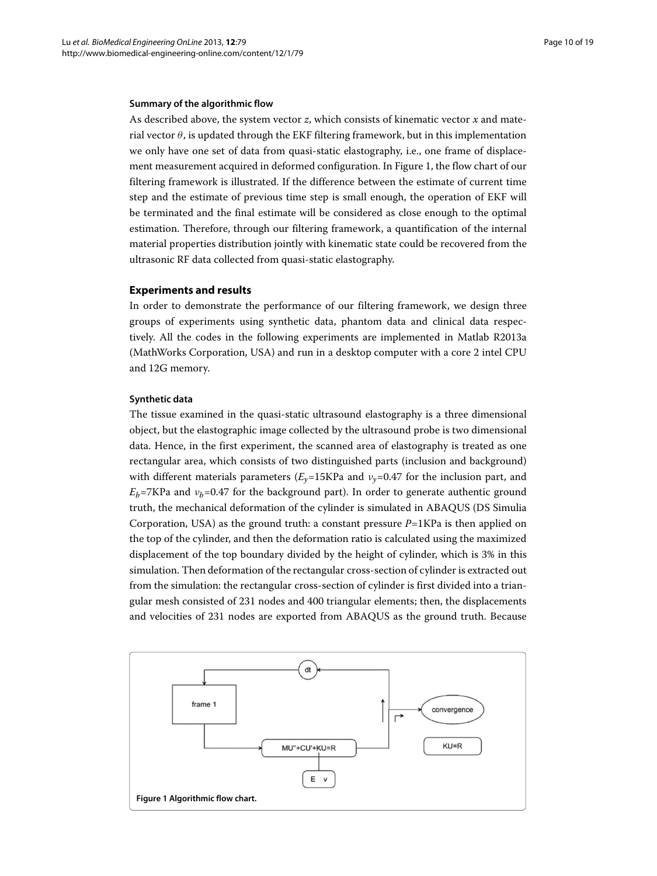# **Summary of the algorithmic flow**

As described above, the system vector *z*, which consists of kinematic vector *x* and material vector  $\theta$ , is updated through the EKF filtering framework, but in this implementation we only have one set of data from quasi-static elastography, i.e., one frame of displacement measurement acquired in deformed configuration. In Figure [1,](#page-9-1) the flow chart of our filtering framework is illustrated. If the difference between the estimate of current time step and the estimate of previous time step is small enough, the operation of EKF will be terminated and the final estimate will be considered as close enough to the optimal estimation. Therefore, through our filtering framework, a quantification of the internal material properties distribution jointly with kinematic state could be recovered from the ultrasonic RF data collected from quasi-static elastography.

# <span id="page-9-0"></span>**Experiments and results**

In order to demonstrate the performance of our filtering framework, we design three groups of experiments using synthetic data, phantom data and clinical data respectively. All the codes in the following experiments are implemented in Matlab R2013a (MathWorks Corporation, USA) and run in a desktop computer with a core 2 intel CPU and 12G memory.

# **Synthetic data**

The tissue examined in the quasi-static ultrasound elastography is a three dimensional object, but the elastographic image collected by the ultrasound probe is two dimensional data. Hence, in the first experiment, the scanned area of elastography is treated as one rectangular area, which consists of two distinguished parts (inclusion and background) with different materials parameters  $(E_v=15KPa$  and  $v_v=0.47$  for the inclusion part, and  $E_b$ =7KPa and  $v_b$ =0.47 for the background part). In order to generate authentic ground truth, the mechanical deformation of the cylinder is simulated in ABAQUS (DS Simulia Corporation, USA) as the ground truth: a constant pressure  $P=1$ KPa is then applied on the top of the cylinder, and then the deformation ratio is calculated using the maximized displacement of the top boundary divided by the height of cylinder, which is 3% in this simulation. Then deformation of the rectangular cross-section of cylinder is extracted out from the simulation: the rectangular cross-section of cylinder is first divided into a triangular mesh consisted of 231 nodes and 400 triangular elements; then, the displacements and velocities of 231 nodes are exported from ABAQUS as the ground truth. Because

<span id="page-9-1"></span>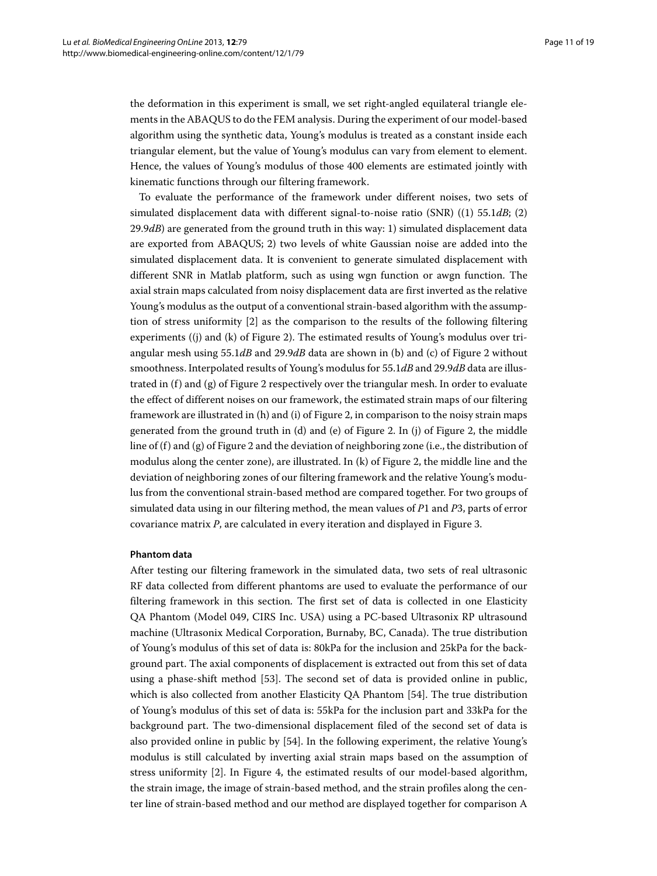the deformation in this experiment is small, we set right-angled equilateral triangle elements in the ABAQUS to do the FEM analysis. During the experiment of our model-based algorithm using the synthetic data, Young's modulus is treated as a constant inside each triangular element, but the value of Young's modulus can vary from element to element. Hence, the values of Young's modulus of those 400 elements are estimated jointly with kinematic functions through our filtering framework.

To evaluate the performance of the framework under different noises, two sets of simulated displacement data with different signal-to-noise ratio (SNR) ((1) 55.1*dB*; (2) 29.9*dB*) are generated from the ground truth in this way: 1) simulated displacement data are exported from ABAQUS; 2) two levels of white Gaussian noise are added into the simulated displacement data. It is convenient to generate simulated displacement with different SNR in Matlab platform, such as using wgn function or awgn function. The axial strain maps calculated from noisy displacement data are first inverted as the relative Young's modulus as the output of a conventional strain-based algorithm with the assumption of stress uniformity [\[2\]](#page-17-1) as the comparison to the results of the following filtering experiments ((j) and (k) of Figure [2\)](#page-11-0). The estimated results of Young's modulus over triangular mesh using 55.1*dB* and 29.9*dB* data are shown in (b) and (c) of Figure [2](#page-11-0) without smoothness. Interpolated results of Young's modulus for 55.1*dB* and 29.9*dB* data are illustrated in  $(f)$  and  $(g)$  of Figure [2](#page-11-0) respectively over the triangular mesh. In order to evaluate the effect of different noises on our framework, the estimated strain maps of our filtering framework are illustrated in (h) and (i) of Figure [2,](#page-11-0) in comparison to the noisy strain maps generated from the ground truth in (d) and (e) of Figure [2.](#page-11-0) In (j) of Figure [2,](#page-11-0) the middle line of (f) and (g) of Figure [2](#page-11-0) and the deviation of neighboring zone (i.e., the distribution of modulus along the center zone), are illustrated. In (k) of Figure [2,](#page-11-0) the middle line and the deviation of neighboring zones of our filtering framework and the relative Young's modulus from the conventional strain-based method are compared together. For two groups of simulated data using in our filtering method, the mean values of *P*1 and *P*3, parts of error covariance matrix *P*, are calculated in every iteration and displayed in Figure [3.](#page-12-0)

# **Phantom data**

After testing our filtering framework in the simulated data, two sets of real ultrasonic RF data collected from different phantoms are used to evaluate the performance of our filtering framework in this section. The first set of data is collected in one Elasticity QA Phantom (Model 049, CIRS Inc. USA) using a PC-based Ultrasonix RP ultrasound machine (Ultrasonix Medical Corporation, Burnaby, BC, Canada). The true distribution of Young's modulus of this set of data is: 80kPa for the inclusion and 25kPa for the background part. The axial components of displacement is extracted out from this set of data using a phase-shift method [\[53\]](#page-18-32). The second set of data is provided online in public, which is also collected from another Elasticity QA Phantom [\[54\]](#page-18-33). The true distribution of Young's modulus of this set of data is: 55kPa for the inclusion part and 33kPa for the background part. The two-dimensional displacement filed of the second set of data is also provided online in public by [\[54\]](#page-18-33). In the following experiment, the relative Young's modulus is still calculated by inverting axial strain maps based on the assumption of stress uniformity [\[2\]](#page-17-1). In Figure [4,](#page-12-1) the estimated results of our model-based algorithm, the strain image, the image of strain-based method, and the strain profiles along the center line of strain-based method and our method are displayed together for comparison A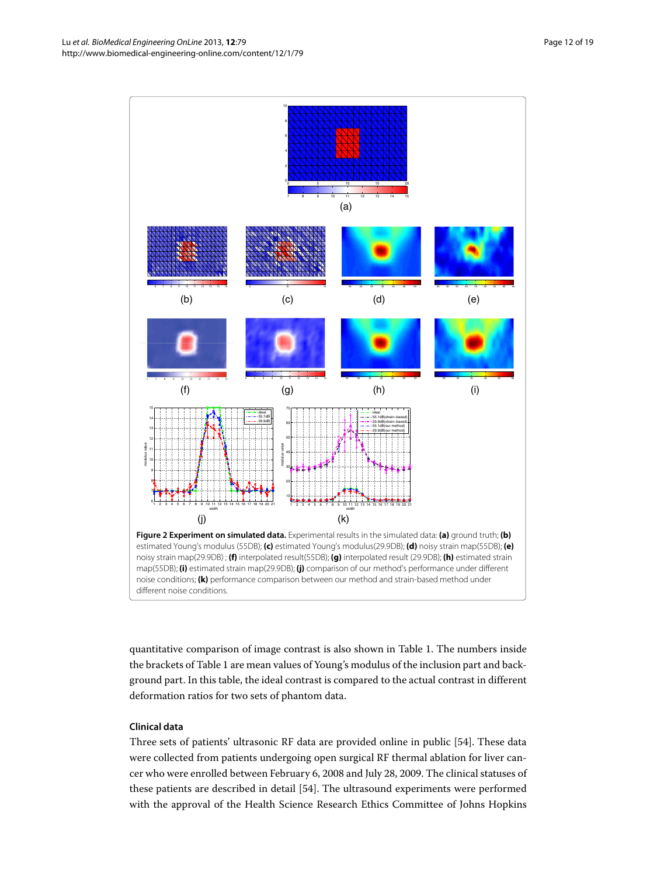

<span id="page-11-0"></span>quantitative comparison of image contrast is also shown in Table [1.](#page-13-0) The numbers inside the brackets of Table [1](#page-13-0) are mean values of Young's modulus of the inclusion part and background part. In this table, the ideal contrast is compared to the actual contrast in different deformation ratios for two sets of phantom data.

# **Clinical data**

Three sets of patients' ultrasonic RF data are provided online in public [\[54\]](#page-18-33). These data were collected from patients undergoing open surgical RF thermal ablation for liver cancer who were enrolled between February 6, 2008 and July 28, 2009. The clinical statuses of these patients are described in detail [\[54\]](#page-18-33). The ultrasound experiments were performed with the approval of the Health Science Research Ethics Committee of Johns Hopkins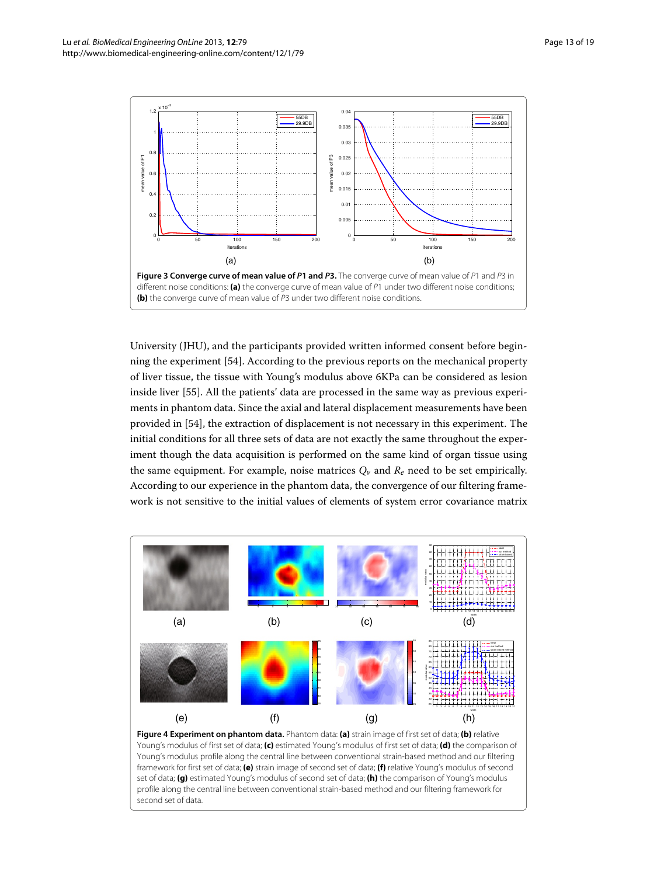

<span id="page-12-0"></span>University (JHU), and the participants provided written informed consent before beginning the experiment [\[54\]](#page-18-33). According to the previous reports on the mechanical property of liver tissue, the tissue with Young's modulus above 6KPa can be considered as lesion inside liver [\[55\]](#page-18-34). All the patients' data are processed in the same way as previous experiments in phantom data. Since the axial and lateral displacement measurements have been provided in [\[54\]](#page-18-33), the extraction of displacement is not necessary in this experiment. The initial conditions for all three sets of data are not exactly the same throughout the experiment though the data acquisition is performed on the same kind of organ tissue using the same equipment. For example, noise matrices  $Q_v$  and  $R_e$  need to be set empirically. According to our experience in the phantom data, the convergence of our filtering framework is not sensitive to the initial values of elements of system error covariance matrix



<span id="page-12-1"></span>Young's modulus of first set of data; **(c)** estimated Young's modulus of first set of data; **(d)** the comparison of Young's modulus profile along the central line between conventional strain-based method and our filtering framework for first set of data; **(e)** strain image of second set of data; **(f)** relative Young's modulus of second set of data; **(g)** estimated Young's modulus of second set of data; **(h)** the comparison of Young's modulus profile along the central line between conventional strain-based method and our filtering framework for second set of data.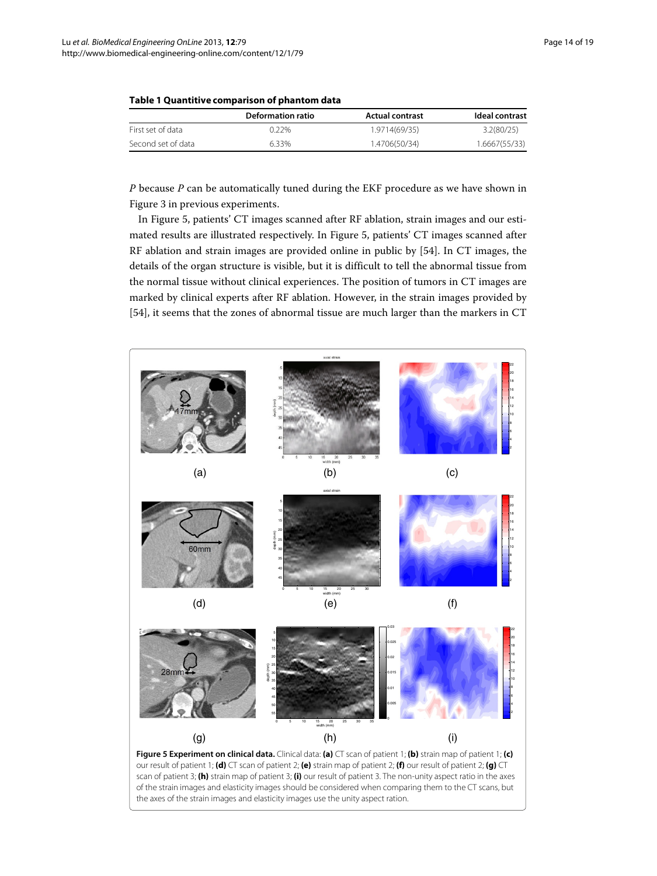|                    | Deformation ratio | <b>Actual contrast</b> | Ideal contrast |
|--------------------|-------------------|------------------------|----------------|
| First set of data  | በ 22%             | 1.9714(69/35)          | 3.2(80/25)     |
| Second set of data | 6.33%             | 1.4706(50/34)          | 1.6667(55/33)  |

<span id="page-13-0"></span>

|  |  |  |  | Table 1 Quantitive comparison of phantom data |
|--|--|--|--|-----------------------------------------------|
|--|--|--|--|-----------------------------------------------|

*P* because *P* can be automatically tuned during the EKF procedure as we have shown in Figure [3](#page-12-0) in previous experiments.

In Figure [5,](#page-13-1) patients' CT images scanned after RF ablation, strain images and our estimated results are illustrated respectively. In Figure [5,](#page-13-1) patients' CT images scanned after RF ablation and strain images are provided online in public by [\[54\]](#page-18-33). In CT images, the details of the organ structure is visible, but it is difficult to tell the abnormal tissue from the normal tissue without clinical experiences. The position of tumors in CT images are marked by clinical experts after RF ablation. However, in the strain images provided by [\[54\]](#page-18-33), it seems that the zones of abnormal tissue are much larger than the markers in CT

<span id="page-13-1"></span>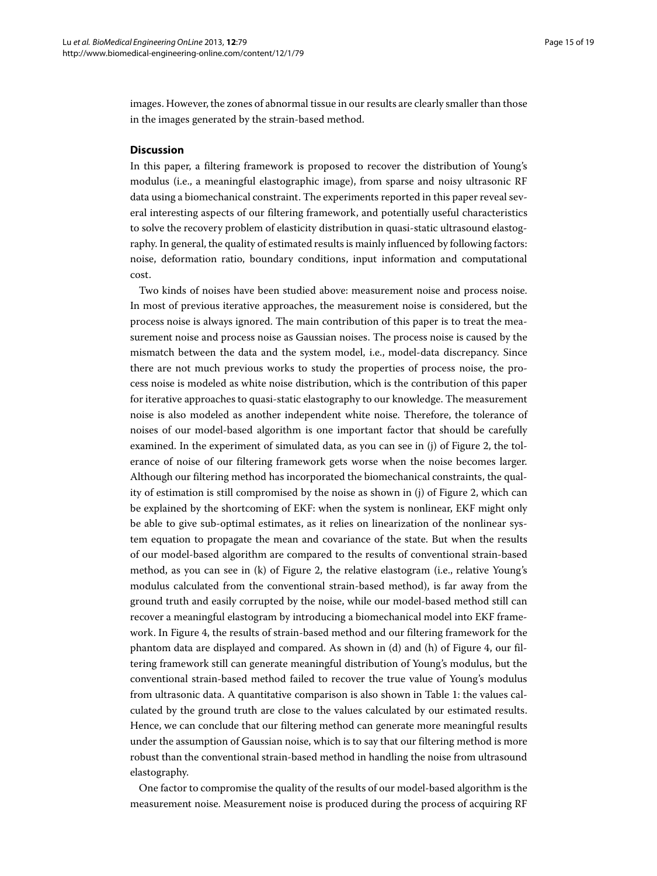images. However, the zones of abnormal tissue in our results are clearly smaller than those in the images generated by the strain-based method.

# <span id="page-14-0"></span>**Discussion**

In this paper, a filtering framework is proposed to recover the distribution of Young's modulus (i.e., a meaningful elastographic image), from sparse and noisy ultrasonic RF data using a biomechanical constraint. The experiments reported in this paper reveal several interesting aspects of our filtering framework, and potentially useful characteristics to solve the recovery problem of elasticity distribution in quasi-static ultrasound elastography. In general, the quality of estimated results is mainly influenced by following factors: noise, deformation ratio, boundary conditions, input information and computational cost.

Two kinds of noises have been studied above: measurement noise and process noise. In most of previous iterative approaches, the measurement noise is considered, but the process noise is always ignored. The main contribution of this paper is to treat the measurement noise and process noise as Gaussian noises. The process noise is caused by the mismatch between the data and the system model, i.e., model-data discrepancy. Since there are not much previous works to study the properties of process noise, the process noise is modeled as white noise distribution, which is the contribution of this paper for iterative approaches to quasi-static elastography to our knowledge. The measurement noise is also modeled as another independent white noise. Therefore, the tolerance of noises of our model-based algorithm is one important factor that should be carefully examined. In the experiment of simulated data, as you can see in (j) of Figure [2,](#page-11-0) the tolerance of noise of our filtering framework gets worse when the noise becomes larger. Although our filtering method has incorporated the biomechanical constraints, the quality of estimation is still compromised by the noise as shown in (j) of Figure [2,](#page-11-0) which can be explained by the shortcoming of EKF: when the system is nonlinear, EKF might only be able to give sub-optimal estimates, as it relies on linearization of the nonlinear system equation to propagate the mean and covariance of the state. But when the results of our model-based algorithm are compared to the results of conventional strain-based method, as you can see in (k) of Figure [2,](#page-11-0) the relative elastogram (i.e., relative Young's modulus calculated from the conventional strain-based method), is far away from the ground truth and easily corrupted by the noise, while our model-based method still can recover a meaningful elastogram by introducing a biomechanical model into EKF framework. In Figure [4,](#page-12-1) the results of strain-based method and our filtering framework for the phantom data are displayed and compared. As shown in (d) and (h) of Figure [4,](#page-12-1) our filtering framework still can generate meaningful distribution of Young's modulus, but the conventional strain-based method failed to recover the true value of Young's modulus from ultrasonic data. A quantitative comparison is also shown in Table [1:](#page-13-0) the values calculated by the ground truth are close to the values calculated by our estimated results. Hence, we can conclude that our filtering method can generate more meaningful results under the assumption of Gaussian noise, which is to say that our filtering method is more robust than the conventional strain-based method in handling the noise from ultrasound elastography.

One factor to compromise the quality of the results of our model-based algorithm is the measurement noise. Measurement noise is produced during the process of acquiring RF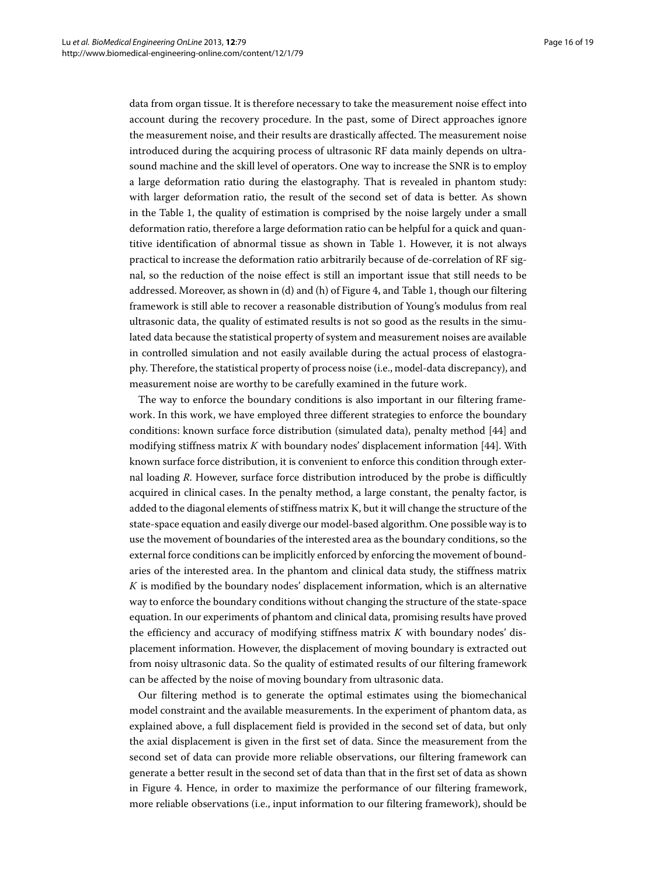data from organ tissue. It is therefore necessary to take the measurement noise effect into account during the recovery procedure. In the past, some of Direct approaches ignore the measurement noise, and their results are drastically affected. The measurement noise introduced during the acquiring process of ultrasonic RF data mainly depends on ultrasound machine and the skill level of operators. One way to increase the SNR is to employ a large deformation ratio during the elastography. That is revealed in phantom study: with larger deformation ratio, the result of the second set of data is better. As shown in the Table [1,](#page-13-0) the quality of estimation is comprised by the noise largely under a small deformation ratio, therefore a large deformation ratio can be helpful for a quick and quantitive identification of abnormal tissue as shown in Table [1.](#page-13-0) However, it is not always practical to increase the deformation ratio arbitrarily because of de-correlation of RF signal, so the reduction of the noise effect is still an important issue that still needs to be addressed. Moreover, as shown in (d) and (h) of Figure [4,](#page-12-1) and Table [1,](#page-13-0) though our filtering framework is still able to recover a reasonable distribution of Young's modulus from real ultrasonic data, the quality of estimated results is not so good as the results in the simulated data because the statistical property of system and measurement noises are available in controlled simulation and not easily available during the actual process of elastography. Therefore, the statistical property of process noise (i.e., model-data discrepancy), and measurement noise are worthy to be carefully examined in the future work.

The way to enforce the boundary conditions is also important in our filtering framework. In this work, we have employed three different strategies to enforce the boundary conditions: known surface force distribution (simulated data), penalty method [\[44\]](#page-18-23) and modifying stiffness matrix *K* with boundary nodes' displacement information [\[44\]](#page-18-23). With known surface force distribution, it is convenient to enforce this condition through external loading *R*. However, surface force distribution introduced by the probe is difficultly acquired in clinical cases. In the penalty method, a large constant, the penalty factor, is added to the diagonal elements of stiffness matrix K, but it will change the structure of the state-space equation and easily diverge our model-based algorithm. One possible way is to use the movement of boundaries of the interested area as the boundary conditions, so the external force conditions can be implicitly enforced by enforcing the movement of boundaries of the interested area. In the phantom and clinical data study, the stiffness matrix *K* is modified by the boundary nodes' displacement information, which is an alternative way to enforce the boundary conditions without changing the structure of the state-space equation. In our experiments of phantom and clinical data, promising results have proved the efficiency and accuracy of modifying stiffness matrix *K* with boundary nodes' displacement information. However, the displacement of moving boundary is extracted out from noisy ultrasonic data. So the quality of estimated results of our filtering framework can be affected by the noise of moving boundary from ultrasonic data.

Our filtering method is to generate the optimal estimates using the biomechanical model constraint and the available measurements. In the experiment of phantom data, as explained above, a full displacement field is provided in the second set of data, but only the axial displacement is given in the first set of data. Since the measurement from the second set of data can provide more reliable observations, our filtering framework can generate a better result in the second set of data than that in the first set of data as shown in Figure [4.](#page-12-1) Hence, in order to maximize the performance of our filtering framework, more reliable observations (i.e., input information to our filtering framework), should be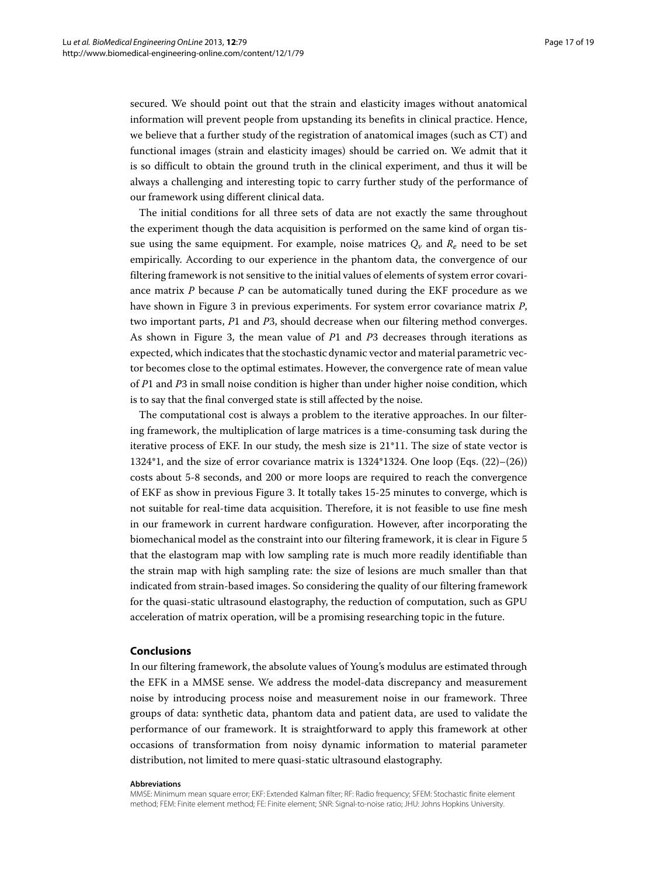secured. We should point out that the strain and elasticity images without anatomical information will prevent people from upstanding its benefits in clinical practice. Hence, we believe that a further study of the registration of anatomical images (such as CT) and functional images (strain and elasticity images) should be carried on. We admit that it is so difficult to obtain the ground truth in the clinical experiment, and thus it will be always a challenging and interesting topic to carry further study of the performance of our framework using different clinical data.

The initial conditions for all three sets of data are not exactly the same throughout the experiment though the data acquisition is performed on the same kind of organ tissue using the same equipment. For example, noise matrices  $Q_v$  and  $R_e$  need to be set empirically. According to our experience in the phantom data, the convergence of our filtering framework is not sensitive to the initial values of elements of system error covariance matrix *P* because *P* can be automatically tuned during the EKF procedure as we have shown in Figure [3](#page-12-0) in previous experiments. For system error covariance matrix *P*, two important parts, *P*1 and *P*3, should decrease when our filtering method converges. As shown in Figure [3,](#page-12-0) the mean value of *P*1 and *P*3 decreases through iterations as expected, which indicates that the stochastic dynamic vector and material parametric vector becomes close to the optimal estimates. However, the convergence rate of mean value of *P*1 and *P*3 in small noise condition is higher than under higher noise condition, which is to say that the final converged state is still affected by the noise.

The computational cost is always a problem to the iterative approaches. In our filtering framework, the multiplication of large matrices is a time-consuming task during the iterative process of EKF. In our study, the mesh size is 21\*11. The size of state vector is 1324\*1, and the size of error covariance matrix is 1324\*1324. One loop (Eqs. [\(22\)](#page-8-0)–[\(26\)](#page-8-1)) costs about 5-8 seconds, and 200 or more loops are required to reach the convergence of EKF as show in previous Figure [3.](#page-12-0) It totally takes 15-25 minutes to converge, which is not suitable for real-time data acquisition. Therefore, it is not feasible to use fine mesh in our framework in current hardware configuration. However, after incorporating the biomechanical model as the constraint into our filtering framework, it is clear in Figure [5](#page-13-1) that the elastogram map with low sampling rate is much more readily identifiable than the strain map with high sampling rate: the size of lesions are much smaller than that indicated from strain-based images. So considering the quality of our filtering framework for the quasi-static ultrasound elastography, the reduction of computation, such as GPU acceleration of matrix operation, will be a promising researching topic in the future.

# **Conclusions**

In our filtering framework, the absolute values of Young's modulus are estimated through the EFK in a MMSE sense. We address the model-data discrepancy and measurement noise by introducing process noise and measurement noise in our framework. Three groups of data: synthetic data, phantom data and patient data, are used to validate the performance of our framework. It is straightforward to apply this framework at other occasions of transformation from noisy dynamic information to material parameter distribution, not limited to mere quasi-static ultrasound elastography.

#### **Abbreviations**

MMSE: Minimum mean square error; EKF: Extended Kalman filter; RF: Radio frequency; SFEM: Stochastic finite element method; FEM: Finite element method; FE: Finite element; SNR: Signal-to-noise ratio; JHU: Johns Hopkins University.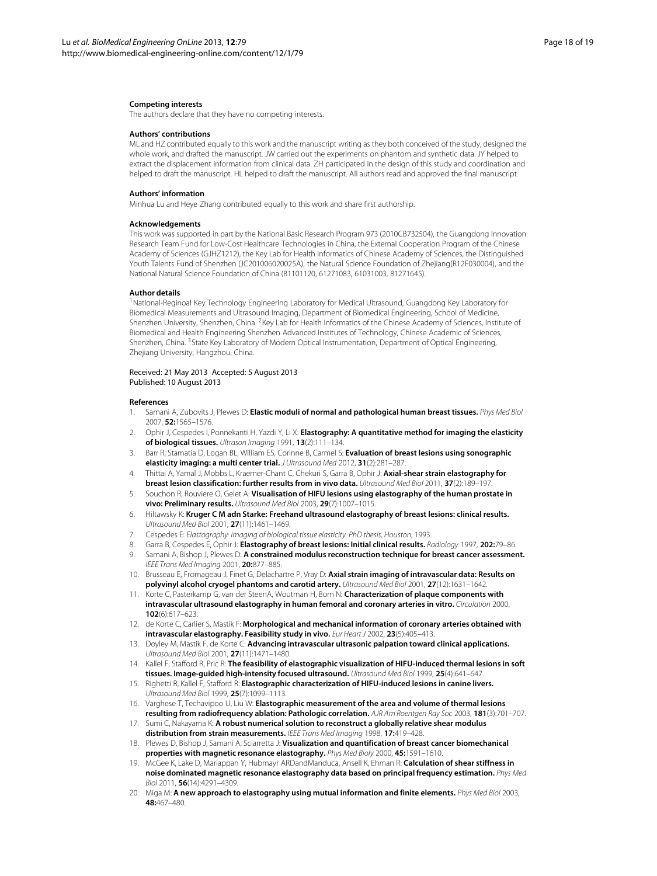#### **Competing interests**

The authors declare that they have no competing interests.

#### **Authors' contributions**

ML and HZ contributed equally to this work and the manuscript writing as they both conceived of the study, designed the whole work, and drafted the manuscript. JW carried out the experiments on phantom and synthetic data. JY helped to extract the displacement information from clinical data. ZH participated in the design of this study and coordination and helped to draft the manuscript. HL helped to draft the manuscript. All authors read and approved the final manuscript.

#### **Authors' information**

Minhua Lu and Heye Zhang contributed equally to this work and share first authorship.

#### **Acknowledgements**

This work was supported in part by the National Basic Research Program 973 (2010CB732504), the Guangdong Innovation Research Team Fund for Low-Cost Healthcare Technologies in China, the External Cooperation Program of the Chinese Academy of Sciences (GJHZ1212), the Key Lab for Health Informatics of Chinese Academy of Sciences, the Distinguished Youth Talents Fund of Shenzhen (JC201006020025A), the Natural Science Foundation of Zhejiang(R12F030004), and the National Natural Science Foundation of China (81101120, 61271083, 61031003, 81271645).

#### **Author details**

1National-Reginoal Key Technology Engineering Laboratory for Medical Ultrasound, Guangdong Key Laboratory for Biomedical Measurements and Ultrasound Imaging, Department of Biomedical Engineering, School of Medicine, Shenzhen University, Shenzhen, China. <sup>2</sup>Key Lab for Health Informatics of the Chinese Academy of Sciences, Institute of Biomedical and Health Engineering Shenzhen Advanced Institutes of Technology, Chinese Academic of Sciences, Shenzhen, China. <sup>3</sup>State Key Laboratory of Modern Optical Instrumentation, Department of Optical Engineering, Zhejiang University, Hangzhou, China.

#### Received: 21 May 2013 Accepted: 5 August 2013 Published: 10 August 2013

#### **References**

- <span id="page-17-0"></span>1. Samani A, Zubovits J, Plewes D: **Elastic moduli of normal and pathological human breast tissues.** *Phys Med Biol* 2007, **52:**1565–1576.
- <span id="page-17-1"></span>2. Ophir J, Cespedes I, Ponnekanti H, Yazdi Y, Li X: **Elastography: A quantitative method for imaging the elasticity of biological tissues.** *Ultrason Imaging* 1991, **13**(2):111–134.
- <span id="page-17-2"></span>3. Barr R, Stamatia D, Logan BL, William ES, Corinne B, Carmel S: **Evaluation of breast lesions using sonographic elasticity imaging: a multi center trial.** *J Ultrasound Med* 2012, **31**(2):281–287.
- 4. Thittai A, Yamal J, Mobbs L, Kraemer-Chant C, Chekuri S, Garra B, Ophir J: **Axial-shear strain elastography for breast lesion classification: further results from in vivo data.** *Ultrasound Med Biol* 2011, **37**(2):189–197.
- 5. Souchon R, Rouviere O, Gelet A: **Visualisation of HIFU lesions using elastography of the human prostate in vivo: Preliminary results.** *Ultrasound Med Biol* 2003, **29**(7):1007–1015.
- 6. Hiltawsky K: **Kruger C M adn Starke: Freehand ultrasound elastography of breast lesions: clinical results.** *Ultrasound Med Biol* 2001, **27**(11):1461–1469.
- 7. Cespedes E: *Elastography: imaging of biological tissue elasticity. PhD thesis, Houston*; 1993.
- 8. Garra B, Cespedes E, Ophir J: **Elastography of breast lesions: Initial clinical results.** *Radiology* 1997, **202:**79–86.
- <span id="page-17-3"></span>9. Samani A, Bishop J, Plewes D: **A constrained modulus reconstruction technique for breast cancer assessment.** *IEEE Trans Med Imaging* 2001, **20:**877–885.
- <span id="page-17-4"></span>10. Brusseau E, Fromageau J, Finet G, Delachartre P, Vray D: **Axial strain imaging of intravascular data: Results on polyvinyl alcohol cryogel phantoms and carotid artery.** *Ultrasound Med Biol* 2001, **27**(12):1631–1642.
- 11. Korte C, Pasterkamp G, van der SteenA, Woutman H, Bom N: **Characterization of plaque components with intravascular ultrasound elastography in human femoral and coronary arteries in vitro.** *Circulation* 2000, **102**(6):617–623.
- 12. de Korte C, Carlier S, Mastik F: **Morphological and mechanical information of coronary arteries obtained with intravascular elastography. Feasibility study in vivo.** *Eur Heart J* 2002, **23**(5):405–413.
- <span id="page-17-5"></span>13. Doyley M, Mastik F, de Korte C: **Advancing intravascular ultrasonic palpation toward clinical applications.** *Ultrasound Med Biol* 2001, **27**(11):1471–1480.
- <span id="page-17-6"></span>14. Kallel F, Stafford R, Pric R: **The feasibility of elastographic visualization of HIFU-induced thermal lesions in soft tissues. Image-guided high-intensity focused ultrasound.** *Ultrasound Med Biol* 1999, **25**(4):641–647.
- 15. Righetti R, Kallel F, Stafford R: **Elastographic characterization of HIFU-induced lesions in canine livers.** *Ultrasound Med Biol* 1999, **25**(7):1099–1113.
- <span id="page-17-7"></span>16. Varghese T, Techavipoo U, Liu W: **Elastographic measurement of the area and volume of thermal lesions resulting from radiofrequency ablation: Pathologic correlation.** *AJR Am Roentgen Ray Soc* 2003, **181**(3):701–707.

<span id="page-17-8"></span>17. Sumi C, Nakayama K: **A robust numerical solution to reconstruct a globally relative shear modulus distribution from strain measurements.** *IEEE Trans Med Imaging* 1998, **17:**419–428.

- 18. Plewes D, Bishop J, Samani A, Sciarretta J: **Visualization and quantification of breast cancer biomechanical properties with magnetic resonance elastography.** *Phys Med Bioly* 2000, **45:**1591–1610.
- <span id="page-17-9"></span>19. McGee K, Lake D, Mariappan Y, Hubmayr ARDandManduca, Ansell K, Ehman R: **Calculation of shear stiffness in noise dominated magnetic resonance elastography data based on principal frequency estimation.** *Phys Med Biol* 2011, **56**(14):4291–4309.
- <span id="page-17-10"></span>20. Miga M: **A new approach to elastography using mutual information and finite elements.** *Phys Med Biol* 2003, **48:**467–480.